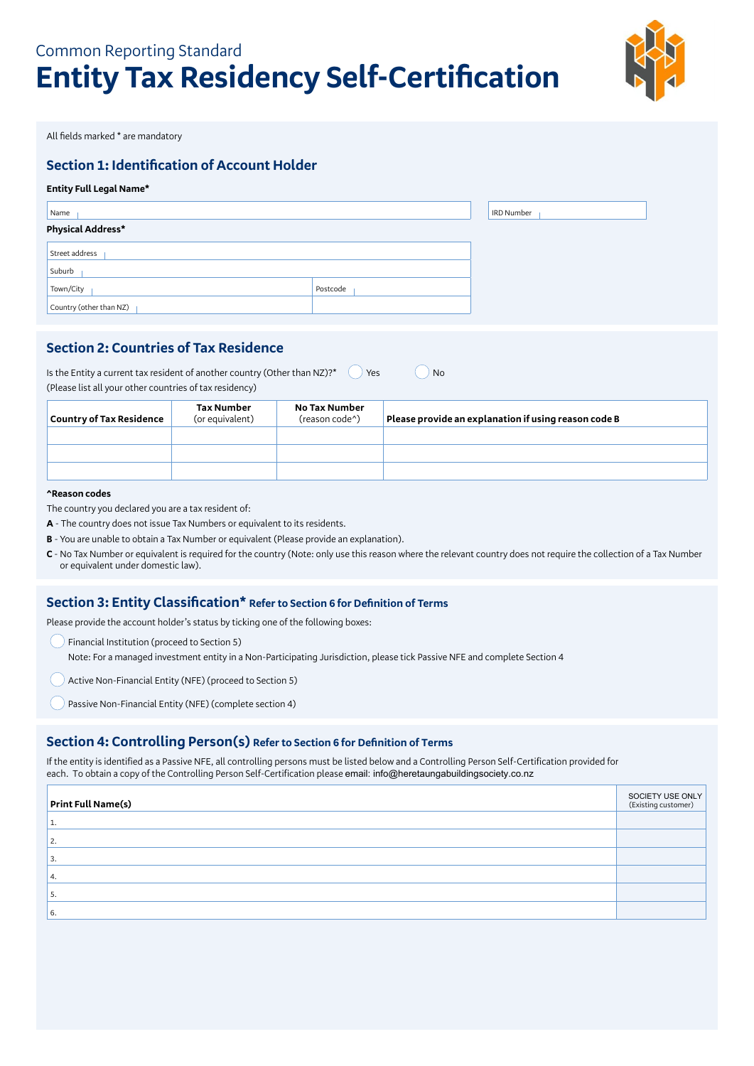# Common Reporting Standard **Entity Tax Residency Self-Certification**



All fields marked \* are mandatory

# **Section 1: Identification of Account Holder**

## **Entity Full Legal Name\***

| Name                     |          | IRD Number |
|--------------------------|----------|------------|
| <b>Physical Address*</b> |          |            |
| Street address           |          |            |
| Suburb                   |          |            |
| Town/City                | Postcode |            |
| Country (other than NZ)  |          |            |

## **Section 2: Countries of Tax Residence**

| Is the Entity a current tax resident of another country (Other than NZ)?* | $\sqrt{$ Yes | ) No |
|---------------------------------------------------------------------------|--------------|------|
| (Please list all your other countries of tax residency)                   |              |      |

| Country of Tax Residence | Tax Number<br>(or equivalent) | No Tax Number<br>(reason code <sup>^</sup> ) | Please provide an explanation if using reason code B |
|--------------------------|-------------------------------|----------------------------------------------|------------------------------------------------------|
|                          |                               |                                              |                                                      |
|                          |                               |                                              |                                                      |
|                          |                               |                                              |                                                      |

## **^Reason codes**

The country you declared you are a tax resident of:

- **A** The country does not issue Tax Numbers or equivalent to its residents.
- **B** You are unable to obtain a Tax Number or equivalent (Please provide an explanation).
- **C**  No Tax Number or equivalent is required for the country (Note: only use this reason where the relevant country does not require the collection of a Tax Number or equivalent under domestic law).

## **Section 3: Entity Classification\* Refer to Section 6 for Definition of Terms**

Please provide the account holder's status by ticking one of the following boxes:

- () Financial Institution (proceed to Section 5) Note: For a managed investment entity in a Non-Participating Jurisdiction, please tick Passive NFE and complete Section 4
- Active Non-Financial Entity (NFE) (proceed to Section 5)
- Passive Non-Financial Entity (NFE) (complete section 4)

## **Section 4: Controlling Person(s) Refer to Section 6 for Definition of Terms**

If the entity is identified as a Passive NFE, all controlling persons must be listed below and a Controlling Person Self-Certification provided for each. To obtain a copy of the Controlling Person Self-Certification please email: info@heretaungabuildingsociety.co.nz

| <b>Print Full Name(s)</b> | SOCIETY USE ONLY<br>(Existing customer) |
|---------------------------|-----------------------------------------|
| д.                        |                                         |
| 2.                        |                                         |
| 3.                        |                                         |
| 4.                        |                                         |
| э.                        |                                         |
| 6.                        |                                         |